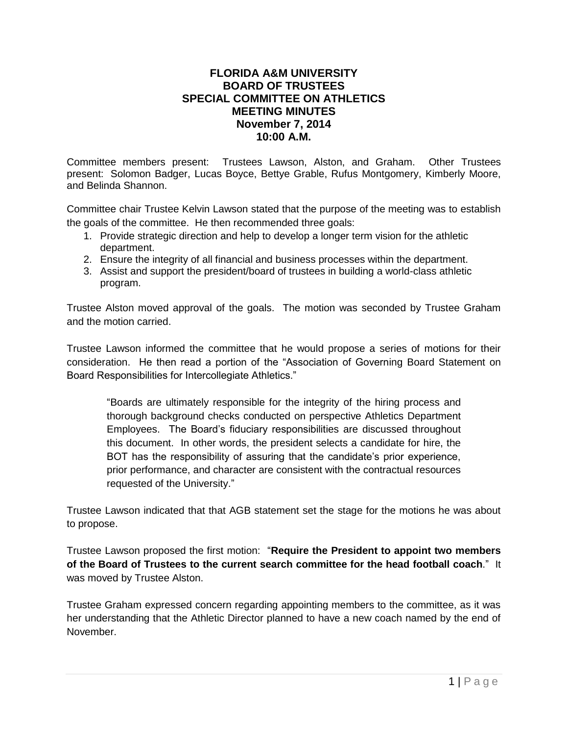## **FLORIDA A&M UNIVERSITY BOARD OF TRUSTEES SPECIAL COMMITTEE ON ATHLETICS MEETING MINUTES November 7, 2014 10:00 A.M.**

Committee members present: Trustees Lawson, Alston, and Graham. Other Trustees present: Solomon Badger, Lucas Boyce, Bettye Grable, Rufus Montgomery, Kimberly Moore, and Belinda Shannon.

Committee chair Trustee Kelvin Lawson stated that the purpose of the meeting was to establish the goals of the committee. He then recommended three goals:

- 1. Provide strategic direction and help to develop a longer term vision for the athletic department.
- 2. Ensure the integrity of all financial and business processes within the department.
- 3. Assist and support the president/board of trustees in building a world-class athletic program.

Trustee Alston moved approval of the goals. The motion was seconded by Trustee Graham and the motion carried.

Trustee Lawson informed the committee that he would propose a series of motions for their consideration. He then read a portion of the "Association of Governing Board Statement on Board Responsibilities for Intercollegiate Athletics."

"Boards are ultimately responsible for the integrity of the hiring process and thorough background checks conducted on perspective Athletics Department Employees. The Board's fiduciary responsibilities are discussed throughout this document. In other words, the president selects a candidate for hire, the BOT has the responsibility of assuring that the candidate's prior experience, prior performance, and character are consistent with the contractual resources requested of the University."

Trustee Lawson indicated that that AGB statement set the stage for the motions he was about to propose.

Trustee Lawson proposed the first motion: "**Require the President to appoint two members of the Board of Trustees to the current search committee for the head football coach**." It was moved by Trustee Alston.

Trustee Graham expressed concern regarding appointing members to the committee, as it was her understanding that the Athletic Director planned to have a new coach named by the end of November.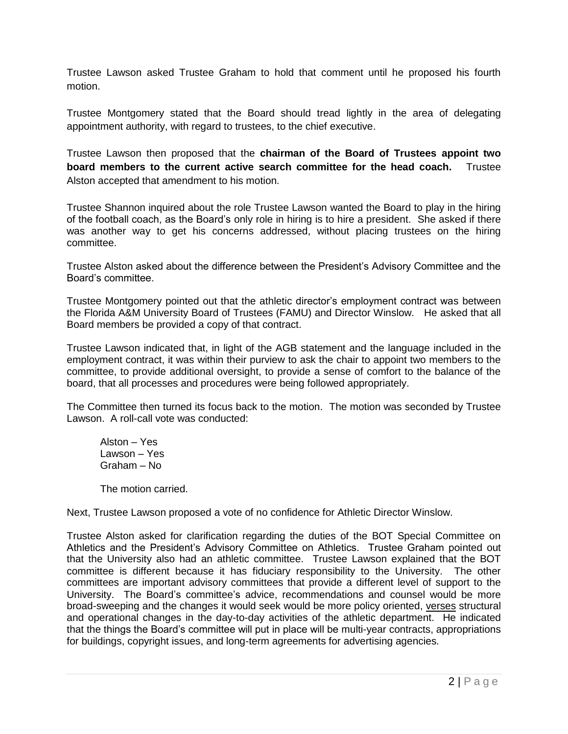Trustee Lawson asked Trustee Graham to hold that comment until he proposed his fourth motion.

Trustee Montgomery stated that the Board should tread lightly in the area of delegating appointment authority, with regard to trustees, to the chief executive.

Trustee Lawson then proposed that the **chairman of the Board of Trustees appoint two board members to the current active search committee for the head coach.** Trustee Alston accepted that amendment to his motion.

Trustee Shannon inquired about the role Trustee Lawson wanted the Board to play in the hiring of the football coach, as the Board's only role in hiring is to hire a president. She asked if there was another way to get his concerns addressed, without placing trustees on the hiring committee.

Trustee Alston asked about the difference between the President's Advisory Committee and the Board's committee.

Trustee Montgomery pointed out that the athletic director's employment contract was between the Florida A&M University Board of Trustees (FAMU) and Director Winslow. He asked that all Board members be provided a copy of that contract.

Trustee Lawson indicated that, in light of the AGB statement and the language included in the employment contract, it was within their purview to ask the chair to appoint two members to the committee, to provide additional oversight, to provide a sense of comfort to the balance of the board, that all processes and procedures were being followed appropriately.

The Committee then turned its focus back to the motion. The motion was seconded by Trustee Lawson. A roll-call vote was conducted:

Alston – Yes Lawson – Yes Graham – No

The motion carried.

Next, Trustee Lawson proposed a vote of no confidence for Athletic Director Winslow.

Trustee Alston asked for clarification regarding the duties of the BOT Special Committee on Athletics and the President's Advisory Committee on Athletics. Trustee Graham pointed out that the University also had an athletic committee. Trustee Lawson explained that the BOT committee is different because it has fiduciary responsibility to the University. The other committees are important advisory committees that provide a different level of support to the University. The Board's committee's advice, recommendations and counsel would be more broad-sweeping and the changes it would seek would be more policy oriented, verses structural and operational changes in the day-to-day activities of the athletic department. He indicated that the things the Board's committee will put in place will be multi-year contracts, appropriations for buildings, copyright issues, and long-term agreements for advertising agencies.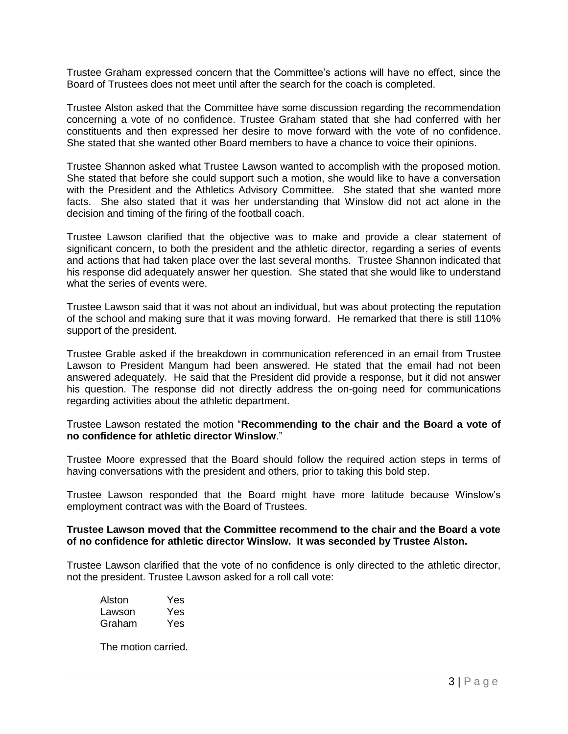Trustee Graham expressed concern that the Committee's actions will have no effect, since the Board of Trustees does not meet until after the search for the coach is completed.

Trustee Alston asked that the Committee have some discussion regarding the recommendation concerning a vote of no confidence. Trustee Graham stated that she had conferred with her constituents and then expressed her desire to move forward with the vote of no confidence. She stated that she wanted other Board members to have a chance to voice their opinions.

Trustee Shannon asked what Trustee Lawson wanted to accomplish with the proposed motion. She stated that before she could support such a motion, she would like to have a conversation with the President and the Athletics Advisory Committee. She stated that she wanted more facts. She also stated that it was her understanding that Winslow did not act alone in the decision and timing of the firing of the football coach.

Trustee Lawson clarified that the objective was to make and provide a clear statement of significant concern, to both the president and the athletic director, regarding a series of events and actions that had taken place over the last several months. Trustee Shannon indicated that his response did adequately answer her question. She stated that she would like to understand what the series of events were.

Trustee Lawson said that it was not about an individual, but was about protecting the reputation of the school and making sure that it was moving forward. He remarked that there is still 110% support of the president.

Trustee Grable asked if the breakdown in communication referenced in an email from Trustee Lawson to President Mangum had been answered. He stated that the email had not been answered adequately. He said that the President did provide a response, but it did not answer his question. The response did not directly address the on-going need for communications regarding activities about the athletic department.

## Trustee Lawson restated the motion "**Recommending to the chair and the Board a vote of no confidence for athletic director Winslow**."

Trustee Moore expressed that the Board should follow the required action steps in terms of having conversations with the president and others, prior to taking this bold step.

Trustee Lawson responded that the Board might have more latitude because Winslow's employment contract was with the Board of Trustees.

## **Trustee Lawson moved that the Committee recommend to the chair and the Board a vote of no confidence for athletic director Winslow. It was seconded by Trustee Alston.**

Trustee Lawson clarified that the vote of no confidence is only directed to the athletic director, not the president. Trustee Lawson asked for a roll call vote:

| Alston | Yes |
|--------|-----|
| Lawson | Yes |
| Graham | Yes |

The motion carried.